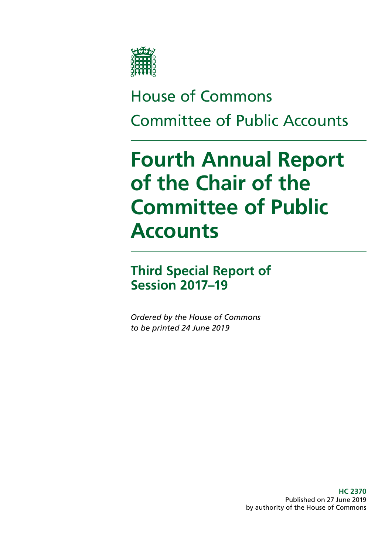

# House of Commons Committee of Public Accounts

# **Fourth Annual Report of the Chair of the Committee of Public Accounts**

# **Third Special Report of Session 2017–19**

*Ordered by the House of Commons to be printed 24 June 2019*

> **HC 2370** Published on 27 June 2019 by authority of the House of Commons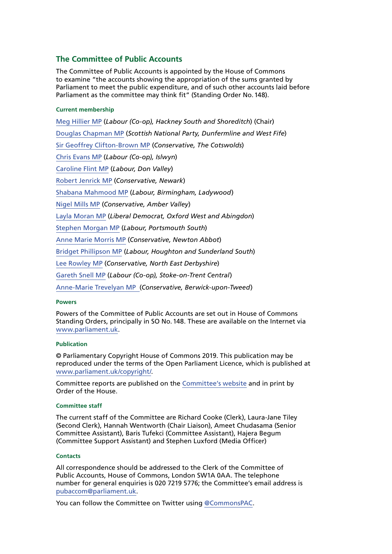#### **The Committee of Public Accounts**

The Committee of Public Accounts is appointed by the House of Commons to examine "the accounts showing the appropriation of the sums granted by Parliament to meet the public expenditure, and of such other accounts laid before Parliament as the committee may think fit" (Standing Order No.148).

#### **Current membership**

[Meg Hillier MP](https://www.parliament.uk/biographies/commons/meg-hillier/1524) (*Labour (Co-op), Hackney South and Shoreditch*) (Chair) [Douglas Chapman MP](https://www.parliament.uk/biographies/commons/douglas-chapman/4402) (*Scottish National Party, Dunfermline and West Fife*) [Sir Geoffrey Clifton-Brown MP](https://www.parliament.uk/biographies/commons/geoffrey-clifton-brown/249) (*Conservative, The Cotswolds*) [Chris Evans MP](https://www.parliament.uk/biographies/commons/chris-evans/4040) (*Labour (Co-op), Islwyn*) [Caroline Flint MP](https://www.parliament.uk/biographies/commons/caroline-flint/389) (*Labour, Don Valley*) [Robert Jenrick MP](https://www.parliament.uk/biographies/commons/robert-jenrick/4320) (*Conservative, Newark*) [Shabana Mahmood MP](https://www.parliament.uk/biographies/commons/shabana-mahmood/3914) (*Labour, Birmingham, Ladywood*) [Nigel Mills MP](https://www.parliament.uk/biographies/commons/nigel-mills/4136) (*Conservative, Amber Valley*) [Layla Moran MP](https://www.parliament.uk/biographies/commons/layla-moran/4656) (*Liberal Democrat, Oxford West and Abingdon*) [Stephen Morgan MP](https://www.parliament.uk/biographies/commons/stephen-morgan/4653) (*Labour, Portsmouth South*) [Anne Marie Morris MP](https://www.parliament.uk/biographies/commons/anne-marie-morris/4249) (*Conservative, Newton Abbot*) [Bridget Phillipson MP](https://www.parliament.uk/biographies/commons/bridget-phillipson/4046) (*Labour, Houghton and Sunderland South*) [Lee Rowley MP](https://www.parliament.uk/biographies/commons/lee-rowley/4652) (*Conservative, North East Derbyshire*) [Gareth Snell MP](https://www.parliament.uk/biographies/commons/gareth-snell/4595) (*Labour (Co-op), Stoke-on-Trent Central*) [Anne-Marie Trevelyan MP](https://www.parliament.uk/biographies/commons/anne-marie-trevelyan/4531) (*Conservative, Berwick-upon-Tweed*)

#### **Powers**

Powers of the Committee of Public Accounts are set out in House of Commons Standing Orders, principally in SO No.148. These are available on the Internet via [www.parliament.uk](https://www.parliament.uk/).

#### **Publication**

© Parliamentary Copyright House of Commons 2019. This publication may be reproduced under the terms of the Open Parliament Licence, which is published at [www.parliament.uk/copyright/.](https://www.parliament.uk/copyright/)

Committee reports are published on the [Committee's website](https://www.parliament.uk/business/committees/committees-a-z/commons-select/public-accounts-committee/) and in print by Order of the House.

#### **Committee staff**

The current staff of the Committee are Richard Cooke (Clerk), Laura-Jane Tiley (Second Clerk), Hannah Wentworth (Chair Liaison), Ameet Chudasama (Senior Committee Assistant), Baris Tufekci (Committee Assistant), Hajera Begum (Committee Support Assistant) and Stephen Luxford (Media Officer)

#### **Contacts**

All correspondence should be addressed to the Clerk of the Committee of Public Accounts, House of Commons, London SW1A 0AA. The telephone number for general enquiries is 020 7219 5776; the Committee's email address is [pubaccom@parliament.uk.](mailto:pubaccom%40parliament.uk?subject=)

You can follow the Committee on Twitter using [@CommonsPAC.](https://twitter.com/commonspac)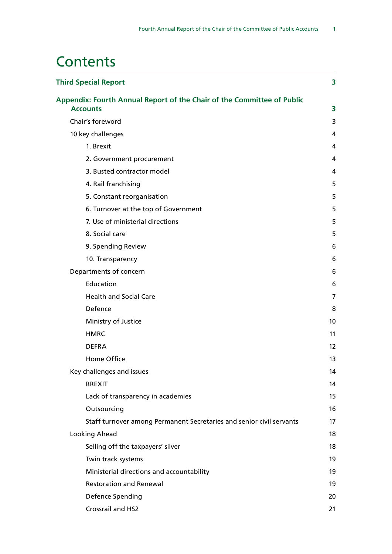# **Contents**

| <b>Third Special Report</b>                                                               | 3  |
|-------------------------------------------------------------------------------------------|----|
| Appendix: Fourth Annual Report of the Chair of the Committee of Public<br><b>Accounts</b> | 3  |
| Chair's foreword                                                                          | 3  |
| 10 key challenges                                                                         | 4  |
| 1. Brexit                                                                                 | 4  |
| 2. Government procurement                                                                 | 4  |
| 3. Busted contractor model                                                                | 4  |
| 4. Rail franchising                                                                       | 5  |
| 5. Constant reorganisation                                                                | 5  |
| 6. Turnover at the top of Government                                                      | 5  |
| 7. Use of ministerial directions                                                          | 5  |
| 8. Social care                                                                            | 5  |
| 9. Spending Review                                                                        | 6  |
| 10. Transparency                                                                          | 6  |
| Departments of concern                                                                    | 6  |
| Education                                                                                 | 6  |
| <b>Health and Social Care</b>                                                             | 7  |
| Defence                                                                                   | 8  |
| Ministry of Justice                                                                       | 10 |
| <b>HMRC</b>                                                                               | 11 |
| <b>DEFRA</b>                                                                              | 12 |
| Home Office                                                                               | 13 |
| Key challenges and issues                                                                 | 14 |
| <b>BREXIT</b>                                                                             | 14 |
| Lack of transparency in academies                                                         | 15 |
| Outsourcing                                                                               | 16 |
| Staff turnover among Permanent Secretaries and senior civil servants                      | 17 |
| Looking Ahead                                                                             | 18 |
| Selling off the taxpayers' silver                                                         | 18 |
| Twin track systems                                                                        | 19 |
| Ministerial directions and accountability                                                 | 19 |
| <b>Restoration and Renewal</b>                                                            | 19 |
| Defence Spending                                                                          | 20 |
| Crossrail and HS2                                                                         | 21 |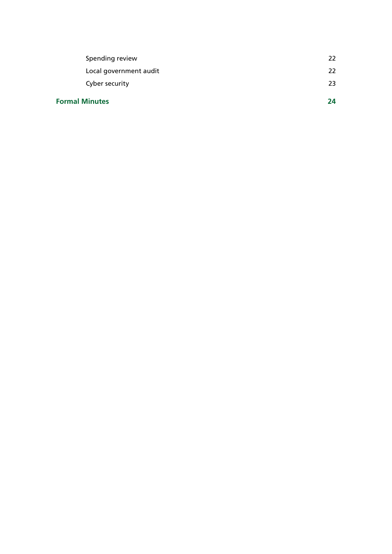| <b>Formal Minutes</b>  | JД |
|------------------------|----|
| Cyber security         | 23 |
| Local government audit | 22 |
| Spending review        | 22 |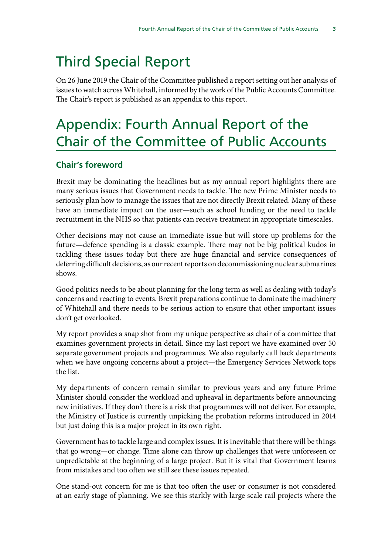# <span id="page-4-0"></span>Third Special Report

On 26 June 2019 the Chair of the Committee published a report setting out her analysis of issues to watch across Whitehall, informed by the work of the Public Accounts Committee. The Chair's report is published as an appendix to this report.

# Appendix: Fourth Annual Report of the Chair of the Committee of Public Accounts

#### **Chair's foreword**

Brexit may be dominating the headlines but as my annual report highlights there are many serious issues that Government needs to tackle. The new Prime Minister needs to seriously plan how to manage the issues that are not directly Brexit related. Many of these have an immediate impact on the user—such as school funding or the need to tackle recruitment in the NHS so that patients can receive treatment in appropriate timescales.

Other decisions may not cause an immediate issue but will store up problems for the future—defence spending is a classic example. There may not be big political kudos in tackling these issues today but there are huge financial and service consequences of deferring difficult decisions, as our recent reports on decommissioning nuclear submarines shows.

Good politics needs to be about planning for the long term as well as dealing with today's concerns and reacting to events. Brexit preparations continue to dominate the machinery of Whitehall and there needs to be serious action to ensure that other important issues don't get overlooked.

My report provides a snap shot from my unique perspective as chair of a committee that examines government projects in detail. Since my last report we have examined over 50 separate government projects and programmes. We also regularly call back departments when we have ongoing concerns about a project—the Emergency Services Network tops the list.

My departments of concern remain similar to previous years and any future Prime Minister should consider the workload and upheaval in departments before announcing new initiatives. If they don't there is a risk that programmes will not deliver. For example, the Ministry of Justice is currently unpicking the probation reforms introduced in 2014 but just doing this is a major project in its own right.

Government has to tackle large and complex issues. It is inevitable that there will be things that go wrong—or change. Time alone can throw up challenges that were unforeseen or unpredictable at the beginning of a large project. But it is vital that Government learns from mistakes and too often we still see these issues repeated.

One stand-out concern for me is that too often the user or consumer is not considered at an early stage of planning. We see this starkly with large scale rail projects where the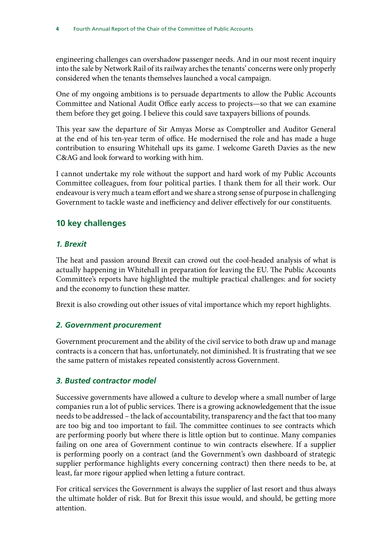<span id="page-5-0"></span>engineering challenges can overshadow passenger needs. And in our most recent inquiry into the sale by Network Rail of its railway arches the tenants' concerns were only properly considered when the tenants themselves launched a vocal campaign.

One of my ongoing ambitions is to persuade departments to allow the Public Accounts Committee and National Audit Office early access to projects—so that we can examine them before they get going. I believe this could save taxpayers billions of pounds.

This year saw the departure of Sir Amyas Morse as Comptroller and Auditor General at the end of his ten-year term of office. He modernised the role and has made a huge contribution to ensuring Whitehall ups its game. I welcome Gareth Davies as the new C&AG and look forward to working with him.

I cannot undertake my role without the support and hard work of my Public Accounts Committee colleagues, from four political parties. I thank them for all their work. Our endeavour is very much a team effort and we share a strong sense of purpose in challenging Government to tackle waste and inefficiency and deliver effectively for our constituents.

## **10 key challenges**

#### *1. Brexit*

The heat and passion around Brexit can crowd out the cool-headed analysis of what is actually happening in Whitehall in preparation for leaving the EU. The Public Accounts Committee's reports have highlighted the multiple practical challenges: and for society and the economy to function these matter.

Brexit is also crowding out other issues of vital importance which my report highlights.

#### *2. Government procurement*

Government procurement and the ability of the civil service to both draw up and manage contracts is a concern that has, unfortunately, not diminished. It is frustrating that we see the same pattern of mistakes repeated consistently across Government.

#### *3. Busted contractor model*

Successive governments have allowed a culture to develop where a small number of large companies run a lot of public services. There is a growing acknowledgement that the issue needs to be addressed – the lack of accountability, transparency and the fact that too many are too big and too important to fail. The committee continues to see contracts which are performing poorly but where there is little option but to continue. Many companies failing on one area of Government continue to win contracts elsewhere. If a supplier is performing poorly on a contract (and the Government's own dashboard of strategic supplier performance highlights every concerning contract) then there needs to be, at least, far more rigour applied when letting a future contract.

For critical services the Government is always the supplier of last resort and thus always the ultimate holder of risk. But for Brexit this issue would, and should, be getting more attention.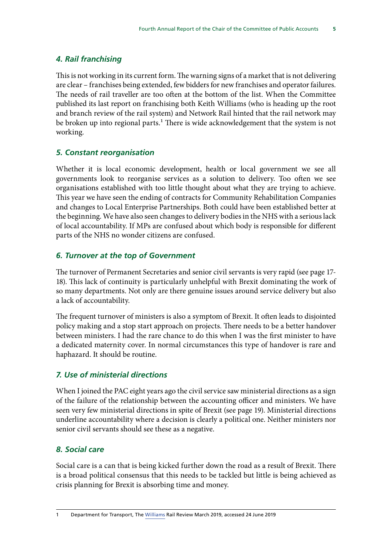### <span id="page-6-0"></span>*4. Rail franchising*

This is not working in its current form. The warning signs of a market that is not delivering are clear – franchises being extended, few bidders for new franchises and operator failures. The needs of rail traveller are too often at the bottom of the list. When the Committee published its last report on franchising both Keith Williams (who is heading up the root and branch review of the rail system) and Network Rail hinted that the rail network may be broken up into regional parts.<sup>1</sup> There is wide acknowledgement that the system is not working.

#### *5. Constant reorganisation*

Whether it is local economic development, health or local government we see all governments look to reorganise services as a solution to delivery. Too often we see organisations established with too little thought about what they are trying to achieve. This year we have seen the ending of contracts for Community Rehabilitation Companies and changes to Local Enterprise Partnerships. Both could have been established better at the beginning. We have also seen changes to delivery bodies in the NHS with a serious lack of local accountability. If MPs are confused about which body is responsible for different parts of the NHS no wonder citizens are confused.

#### *6. Turnover at the top of Government*

The turnover of Permanent Secretaries and senior civil servants is very rapid (see page 17- 18). This lack of continuity is particularly unhelpful with Brexit dominating the work of so many departments. Not only are there genuine issues around service delivery but also a lack of accountability.

The frequent turnover of ministers is also a symptom of Brexit. It often leads to disjointed policy making and a stop start approach on projects. There needs to be a better handover between ministers. I had the rare chance to do this when I was the first minister to have a dedicated maternity cover. In normal circumstances this type of handover is rare and haphazard. It should be routine.

#### *7. Use of ministerial directions*

When I joined the PAC eight years ago the civil service saw ministerial directions as a sign of the failure of the relationship between the accounting officer and ministers. We have seen very few ministerial directions in spite of Brexit (see page 19). Ministerial directions underline accountability where a decision is clearly a political one. Neither ministers nor senior civil servants should see these as a negative.

#### *8. Social care*

Social care is a can that is being kicked further down the road as a result of Brexit. There is a broad political consensus that this needs to be tackled but little is being achieved as crisis planning for Brexit is absorbing time and money.

<sup>1</sup> Department for Transport, The [Williams](https://www.gov.uk/government/collections/the-williams-rail-review) Rail Review March 2019, accessed 24 June 2019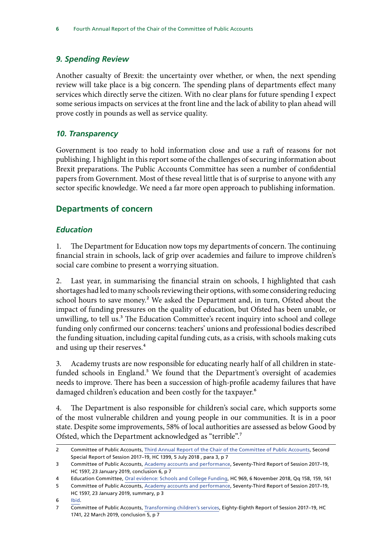#### <span id="page-7-0"></span>*9. Spending Review*

Another casualty of Brexit: the uncertainty over whether, or when, the next spending review will take place is a big concern. The spending plans of departments effect many services which directly serve the citizen. With no clear plans for future spending I expect some serious impacts on services at the front line and the lack of ability to plan ahead will prove costly in pounds as well as service quality.

#### *10. Transparency*

Government is too ready to hold information close and use a raft of reasons for not publishing. I highlight in this report some of the challenges of securing information about Brexit preparations. The Public Accounts Committee has seen a number of confidential papers from Government. Most of these reveal little that is of surprise to anyone with any sector specific knowledge. We need a far more open approach to publishing information.

#### **Departments of concern**

#### *Education*

1. The Department for Education now tops my departments of concern. The continuing financial strain in schools, lack of grip over academies and failure to improve children's social care combine to present a worrying situation.

2. Last year, in summarising the financial strain on schools, I highlighted that cash shortages had led to many schools reviewing their options, with some considering reducing school hours to save money.<sup>2</sup> We asked the Department and, in turn, Ofsted about the impact of funding pressures on the quality of education, but Ofsted has been unable, or unwilling, to tell us.<sup>3</sup> The Education Committee's recent inquiry into school and college funding only confirmed our concerns: teachers' unions and professional bodies described the funding situation, including capital funding cuts, as a crisis, with schools making cuts and using up their reserves.<sup>4</sup>

3. Academy trusts are now responsible for educating nearly half of all children in statefunded schools in England.<sup>5</sup> We found that the Department's oversight of academies needs to improve. There has been a succession of high-profile academy failures that have damaged children's education and been costly for the taxpayer.<sup>6</sup>

4. The Department is also responsible for children's social care, which supports some of the most vulnerable children and young people in our communities. It is in a poor state. Despite some improvements, 58% of local authorities are assessed as below Good by Ofsted, which the Department acknowledged as "terrible".7

<sup>2</sup> Committee of Public Accounts, [Third Annual Report of the Chair of the Committee of Public Accounts,](https://publications.parliament.uk/pa/cm201719/cmselect/cmpubacc/1399/1399.pdf) Second Special Report of Session 2017–19, HC 1399, 5 July 2018 , para 3, p 7

<sup>3</sup> Committee of Public Accounts, [Academy accounts and performance,](https://publications.parliament.uk/pa/cm201719/cmselect/cmpubacc/1597/1597.pdf) Seventy-Third Report of Session 2017–19, HC 1597, 23 January 2019, conclusion 6, p 7

<sup>4</sup> Education Committee, [Oral evidence: Schools and College Funding,](http://data.parliament.uk/writtenevidence/committeeevidence.svc/evidencedocument/education-committee/school-and-college-funding/oral/92342.pdf) HC 969, 6 November 2018, Qq 158, 159, 161

<sup>5</sup> Committee of Public Accounts, [Academy accounts and performance,](https://publications.parliament.uk/pa/cm201719/cmselect/cmpubacc/1597/1597.pdf) Seventy-Third Report of Session 2017–19, HC 1597, 23 January 2019, summary, p 3

<sup>6</sup> [Ibid.](https://publications.parliament.uk/pa/cm201719/cmselect/cmpubacc/1597/1597.pdf)

<sup>7</sup> Committee of Public Accounts, [Transforming children's services,](https://publications.parliament.uk/pa/cm201719/cmselect/cmpubacc/1741-publication/1741.pdf) Eighty-Eighth Report of Session 2017–19, HC 1741, 22 March 2019, conclusion 5, p 7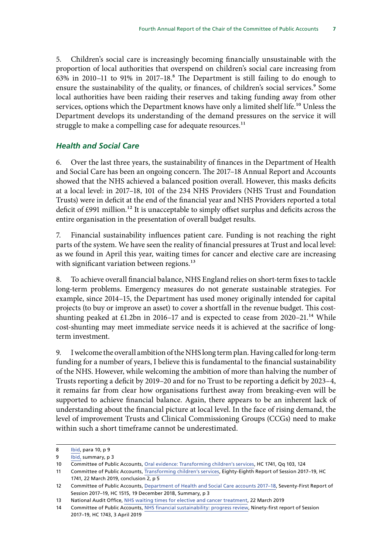<span id="page-8-0"></span>5. Children's social care is increasingly becoming financially unsustainable with the proportion of local authorities that overspend on children's social care increasing from  $63\%$  in 2010–11 to 91% in 2017–18.<sup>8</sup> The Department is still failing to do enough to ensure the sustainability of the quality, or finances, of children's social services.<sup>9</sup> Some local authorities have been raiding their reserves and taking funding away from other services, options which the Department knows have only a limited shelf life.<sup>10</sup> Unless the Department develops its understanding of the demand pressures on the service it will struggle to make a compelling case for adequate resources.<sup>11</sup>

#### *Health and Social Care*

6. Over the last three years, the sustainability of finances in the Department of Health and Social Care has been an ongoing concern. The 2017–18 Annual Report and Accounts showed that the NHS achieved a balanced position overall. However, this masks deficits at a local level: in 2017–18, 101 of the 234 NHS Providers (NHS Trust and Foundation Trusts) were in deficit at the end of the financial year and NHS Providers reported a total deficit of £991 million.<sup>12</sup> It is unacceptable to simply offset surplus and deficits across the entire organisation in the presentation of overall budget results.

7. Financial sustainability influences patient care. Funding is not reaching the right parts of the system. We have seen the reality of financial pressures at Trust and local level: as we found in April this year, waiting times for cancer and elective care are increasing with significant variation between regions.<sup>13</sup>

8. To achieve overall financial balance, NHS England relies on short-term fixes to tackle long-term problems. Emergency measures do not generate sustainable strategies. For example, since 2014–15, the Department has used money originally intended for capital projects (to buy or improve an asset) to cover a shortfall in the revenue budget. This costshunting peaked at £1.2bn in 2016–17 and is expected to cease from 2020–21.<sup>14</sup> While cost-shunting may meet immediate service needs it is achieved at the sacrifice of longterm investment.

9. I welcome the overall ambition of the NHS long term plan. Having called for long-term funding for a number of years, I believe this is fundamental to the financial sustainability of the NHS. However, while welcoming the ambition of more than halving the number of Trusts reporting a deficit by 2019–20 and for no Trust to be reporting a deficit by 2023–4, it remains far from clear how organisations furthest away from breaking-even will be supported to achieve financial balance. Again, there appears to be an inherent lack of understanding about the financial picture at local level. In the face of rising demand, the level of improvement Trusts and Clinical Commissioning Groups (CCGs) need to make within such a short timeframe cannot be underestimated.

<sup>8</sup> [Ibid,](https://publications.parliament.uk/pa/cm201719/cmselect/cmpubacc/1741-publication/1741.pdf) para 10, p 9

<sup>9</sup> [Ibid,](https://publications.parliament.uk/pa/cm201719/cmselect/cmpubacc/1741-publication/1741.pdf) summary, p 3

<sup>10</sup> Committee of Public Accounts, [Oral evidence: Transforming children's services](http://data.parliament.uk/writtenevidence/committeeevidence.svc/evidencedocument/public-accounts-committee/transforming-childrens-services/oral/96104.pdf), HC 1741, Qq 103, 124

<sup>11</sup> Committee of Public Accounts, [Transforming children's services,](https://publications.parliament.uk/pa/cm201719/cmselect/cmpubacc/1741-publication/1741.pdf) Eighty-Eighth Report of Session 2017-19, HC 1741, 22 March 2019, conclusion 2, p 5

<sup>12</sup> Committee of Public Accounts, [Department of Health and Social Care accounts 2017–18,](https://publications.parliament.uk/pa/cm201719/cmselect/cmpubacc/1515/1515.pdf) Seventy-First Report of Session 2017–19, HC 1515, 19 December 2018, Summary, p 3

<sup>13</sup> National Audit Office, [NHS waiting times for elective and cancer treatment,](https://www.nao.org.uk/report/nhs-waiting-times-for-elective-and-cancer-care/) 22 March 2019

<sup>14</sup> Committee of Public Accounts, [NHS financial sustainability: progress review](https://publications.parliament.uk/pa/cm201719/cmselect/cmpubacc/1743/1743.pdf), Ninety-first report of Session 2017–19, HC 1743, 3 April 2019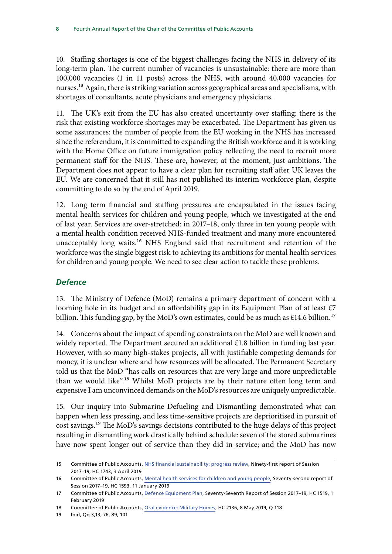<span id="page-9-0"></span>10. Staffing shortages is one of the biggest challenges facing the NHS in delivery of its long-term plan. The current number of vacancies is unsustainable: there are more than 100,000 vacancies (1 in 11 posts) across the NHS, with around 40,000 vacancies for nurses.<sup>15</sup> Again, there is striking variation across geographical areas and specialisms, with shortages of consultants, acute physicians and emergency physicians.

11. The UK's exit from the EU has also created uncertainty over staffing: there is the risk that existing workforce shortages may be exacerbated. The Department has given us some assurances: the number of people from the EU working in the NHS has increased since the referendum, it is committed to expanding the British workforce and it is working with the Home Office on future immigration policy reflecting the need to recruit more permanent staff for the NHS. These are, however, at the moment, just ambitions. The Department does not appear to have a clear plan for recruiting staff after UK leaves the EU. We are concerned that it still has not published its interim workforce plan, despite committing to do so by the end of April 2019.

12. Long term financial and staffing pressures are encapsulated in the issues facing mental health services for children and young people, which we investigated at the end of last year. Services are over-stretched: in 2017–18, only three in ten young people with a mental health condition received NHS-funded treatment and many more encountered unacceptably long waits.<sup>16</sup> NHS England said that recruitment and retention of the workforce was the single biggest risk to achieving its ambitions for mental health services for children and young people. We need to see clear action to tackle these problems.

### *Defence*

13. The Ministry of Defence (MoD) remains a primary department of concern with a looming hole in its budget and an affordability gap in its Equipment Plan of at least £7 billion. This funding gap, by the MoD's own estimates, could be as much as £14.6 billion.<sup>17</sup>

14. Concerns about the impact of spending constraints on the MoD are well known and widely reported. The Department secured an additional £1.8 billion in funding last year. However, with so many high-stakes projects, all with justifiable competing demands for money, it is unclear where and how resources will be allocated. The Permanent Secretary told us that the MoD "has calls on resources that are very large and more unpredictable than we would like".<sup>18</sup> Whilst MoD projects are by their nature often long term and expensive I am unconvinced demands on the MoD's resources are uniquely unpredictable.

15. Our inquiry into Submarine Defueling and Dismantling demonstrated what can happen when less pressing, and less time-sensitive projects are deprioritised in pursuit of cost savings.19 The MoD's savings decisions contributed to the huge delays of this project resulting in dismantling work drastically behind schedule: seven of the stored submarines have now spent longer out of service than they did in service; and the MoD has now

<sup>15</sup> Committee of Public Accounts, [NHS financial sustainability: progress review](https://publications.parliament.uk/pa/cm201719/cmselect/cmpubacc/1743/1743.pdf), Ninety-first report of Session 2017–19, HC 1743, 3 April 2019

<sup>16</sup> Committee of Public Accounts, [Mental health services for children and young people,](https://publications.parliament.uk/pa/cm201719/cmselect/cmpubacc/1593/1593.pdf) Seventy-second report of Session 2017–19, HC 1593, 11 January 2019

<sup>17</sup> Committee of Public Accounts, [Defence Equipment Plan,](https://publications.parliament.uk/pa/cm201719/cmselect/cmpubacc/1519/1519.pdf) Seventy-Seventh Report of Session 2017–19, HC 1519, 1 February 2019

<sup>18</sup> Committee of Public Accounts, [Oral evidence: Military Homes](http://data.parliament.uk/writtenevidence/committeeevidence.svc/evidencedocument/public-accounts-committee/military-homes/oral/101786.pdf), HC 2136, 8 May 2019, Q 118

<sup>19</sup> Ibid, Qq 3,13, 76, 89, 101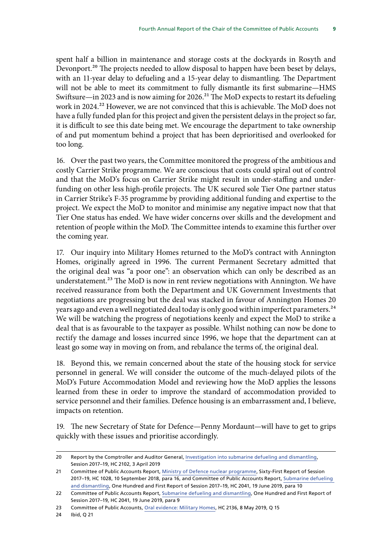spent half a billion in maintenance and storage costs at the dockyards in Rosyth and Devonport.<sup>20</sup> The projects needed to allow disposal to happen have been beset by delays, with an 11-year delay to defueling and a 15-year delay to dismantling. The Department will not be able to meet its commitment to fully dismantle its first submarine—HMS Swiftsure—in 2023 and is now aiming for 2026.<sup>21</sup> The MoD expects to restart its defueling work in 2024.<sup>22</sup> However, we are not convinced that this is achievable. The MoD does not have a fully funded plan for this project and given the persistent delays in the project so far, it is difficult to see this date being met. We encourage the department to take ownership of and put momentum behind a project that has been deprioritised and overlooked for too long.

16. Over the past two years, the Committee monitored the progress of the ambitious and costly Carrier Strike programme. We are conscious that costs could spiral out of control and that the MoD's focus on Carrier Strike might result in under-staffing and underfunding on other less high-profile projects. The UK secured sole Tier One partner status in Carrier Strike's F-35 programme by providing additional funding and expertise to the project. We expect the MoD to monitor and minimise any negative impact now that that Tier One status has ended. We have wider concerns over skills and the development and retention of people within the MoD. The Committee intends to examine this further over the coming year.

17. Our inquiry into Military Homes returned to the MoD's contract with Annington Homes, originally agreed in 1996. The current Permanent Secretary admitted that the original deal was "a poor one": an observation which can only be described as an understatement.<sup>23</sup> The MoD is now in rent review negotiations with Annington. We have received reassurance from both the Department and UK Government Investments that negotiations are progressing but the deal was stacked in favour of Annington Homes 20 years ago and even a well negotiated deal today is only good within imperfect parameters.<sup>24</sup> We will be watching the progress of negotiations keenly and expect the MoD to strike a deal that is as favourable to the taxpayer as possible. Whilst nothing can now be done to rectify the damage and losses incurred since 1996, we hope that the department can at least go some way in moving on from, and rebalance the terms of, the original deal.

18. Beyond this, we remain concerned about the state of the housing stock for service personnel in general. We will consider the outcome of the much-delayed pilots of the MoD's Future Accommodation Model and reviewing how the MoD applies the lessons learned from these in order to improve the standard of accommodation provided to service personnel and their families. Defence housing is an embarrassment and, I believe, impacts on retention.

19. The new Secretary of State for Defence—Penny Mordaunt—will have to get to grips quickly with these issues and prioritise accordingly.

24 Ibid, Q 21

<sup>20</sup> Report by the Comptroller and Auditor General, [Investigation into submarine defueling and dismantling](https://www.nao.org.uk/wp-content/uploads/2019/04/Investigation-into-submarine-defueling-and-dismantling.pdf), Session 2017–19, HC 2102, 3 April 2019

<sup>21</sup> Committee of Public Accounts Report, [Ministry of Defence nuclear programme,](https://publications.parliament.uk/pa/cm201719/cmselect/cmpubacc/1028/1028.pdf) Sixty-First Report of Session 2017–19, HC 1028, 10 September 2018, para 16, and Committee of Public Accounts Report, Submarine defueling [and dismantling,](https://publications.parliament.uk/pa/cm201719/cmselect/cmpubacc/2041/2041.pdf) One Hundred and First Report of Session 2017–19, HC 2041, 19 June 2019, para 10

<sup>22</sup> Committee of Public Accounts Report, [Submarine defueling and dismantling](https://publications.parliament.uk/pa/cm201719/cmselect/cmpubacc/2041/2041.pdf), One Hundred and First Report of Session 2017–19, HC 2041, 19 June 2019, para 9

<sup>23</sup> Committee of Public Accounts, [Oral evidence: Military Homes](http://data.parliament.uk/writtenevidence/committeeevidence.svc/evidencedocument/public-accounts-committee/military-homes/oral/101786.pdf), HC 2136, 8 May 2019, Q 15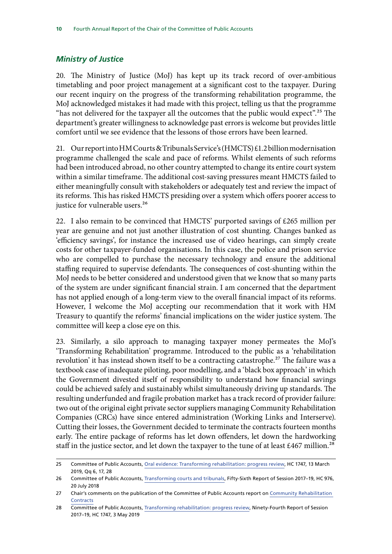### <span id="page-11-0"></span>*Ministry of Justice*

20. The Ministry of Justice (MoJ) has kept up its track record of over-ambitious timetabling and poor project management at a significant cost to the taxpayer. During our recent inquiry on the progress of the transforming rehabilitation programme, the MoJ acknowledged mistakes it had made with this project, telling us that the programme "has not delivered for the taxpayer all the outcomes that the public would expect".<sup>25</sup> The department's greater willingness to acknowledge past errors is welcome but provides little comfort until we see evidence that the lessons of those errors have been learned.

21. Our report into HM Courts & Tribunals Service's (HMCTS) £1.2 billion modernisation programme challenged the scale and pace of reforms. Whilst elements of such reforms had been introduced abroad, no other country attempted to change its entire court system within a similar timeframe. The additional cost-saving pressures meant HMCTS failed to either meaningfully consult with stakeholders or adequately test and review the impact of its reforms. This has risked HMCTS presiding over a system which offers poorer access to justice for vulnerable users.<sup>26</sup>

22. I also remain to be convinced that HMCTS' purported savings of £265 million per year are genuine and not just another illustration of cost shunting. Changes banked as 'efficiency savings', for instance the increased use of video hearings, can simply create costs for other taxpayer-funded organisations. In this case, the police and prison service who are compelled to purchase the necessary technology and ensure the additional staffing required to supervise defendants. The consequences of cost-shunting within the MoJ needs to be better considered and understood given that we know that so many parts of the system are under significant financial strain. I am concerned that the department has not applied enough of a long-term view to the overall financial impact of its reforms. However, I welcome the MoJ accepting our recommendation that it work with HM Treasury to quantify the reforms' financial implications on the wider justice system. The committee will keep a close eye on this.

23. Similarly, a silo approach to managing taxpayer money permeates the MoJ's 'Transforming Rehabilitation' programme. Introduced to the public as a 'rehabilitation revolution' it has instead shown itself to be a contracting catastrophe.<sup>27</sup> The failure was a textbook case of inadequate piloting, poor modelling, and a 'black box approach' in which the Government divested itself of responsibility to understand how financial savings could be achieved safely and sustainably whilst simultaneously driving up standards. The resulting underfunded and fragile probation market has a track record of provider failure: two out of the original eight private sector suppliers managing Community Rehabilitation Companies (CRCs) have since entered administration (Working Links and Interserve). Cutting their losses, the Government decided to terminate the contracts fourteen months early. The entire package of reforms has let down offenders, let down the hardworking staff in the justice sector, and let down the taxpayer to the tune of at least £467 million.<sup>28</sup>

<sup>25</sup> Committee of Public Accounts, [Oral evidence: Transforming rehabilitation: progress review](https://publications.parliament.uk/pa/cm201719/cmselect/cmpubacc/1747/1747.pdf), HC 1747, 13 March 2019, Qq 6, 17, 28

<sup>26</sup> Committee of Public Accounts, [Transforming courts and tribunals,](https://publications.parliament.uk/pa/cm201719/cmselect/cmpubacc/976/976.pdf) Fifty-Sixth Report of Session 2017–19, HC 976, 20 July 2018

<sup>27</sup> Chair's comments on the publication of the Committee of Public Accounts report on Community Rehabilitation **[Contracts](https://www.parliament.uk/business/committees/committees-a-z/commons-select/public-accounts-committee/news-parliament-2017/contracts-community-rehabilitation-companies-report-published-17-191/)** 

<sup>28</sup> Committee of Public Accounts, [Transforming rehabilitation: progress review,](https://publications.parliament.uk/pa/cm201719/cmselect/cmpubacc/1747/1747.pdf) Ninety-Fourth Report of Session 2017–19, HC 1747, 3 May 2019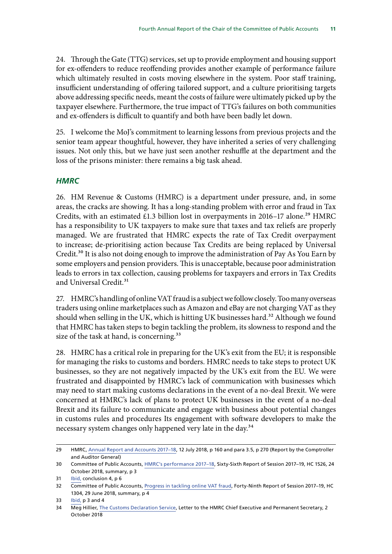<span id="page-12-0"></span>24. Through the Gate (TTG) services, set up to provide employment and housing support for ex-offenders to reduce reoffending provides another example of performance failure which ultimately resulted in costs moving elsewhere in the system. Poor staff training, insufficient understanding of offering tailored support, and a culture prioritising targets above addressing specific needs, meant the costs of failure were ultimately picked up by the taxpayer elsewhere. Furthermore, the true impact of TTG's failures on both communities and ex-offenders is difficult to quantify and both have been badly let down.

25. I welcome the MoJ's commitment to learning lessons from previous projects and the senior team appear thoughtful, however, they have inherited a series of very challenging issues. Not only this, but we have just seen another reshuffle at the department and the loss of the prisons minister: there remains a big task ahead.

#### *HMRC*

26. HM Revenue & Customs (HMRC) is a department under pressure, and, in some areas, the cracks are showing. It has a long-standing problem with error and fraud in Tax Credits, with an estimated £1.3 billion lost in overpayments in 2016-17 alone.<sup>29</sup> HMRC has a responsibility to UK taxpayers to make sure that taxes and tax reliefs are properly managed. We are frustrated that HMRC expects the rate of Tax Credit overpayment to increase; de-prioritising action because Tax Credits are being replaced by Universal Credit.<sup>30</sup> It is also not doing enough to improve the administration of Pay As You Earn by some employers and pension providers. This is unacceptable, because poor administration leads to errors in tax collection, causing problems for taxpayers and errors in Tax Credits and Universal Credit.<sup>31</sup>

27. HMRC's handling of online VAT fraud is a subject we follow closely. Too many overseas traders using online marketplaces such as Amazon and eBay are not charging VAT as they should when selling in the UK, which is hitting UK businesses hard.<sup>32</sup> Although we found that HMRC has taken steps to begin tackling the problem, its slowness to respond and the size of the task at hand, is concerning.<sup>33</sup>

28. HMRC has a critical role in preparing for the UK's exit from the EU; it is responsible for managing the risks to customs and borders. HMRC needs to take steps to protect UK businesses, so they are not negatively impacted by the UK's exit from the EU. We were frustrated and disappointed by HMRC's lack of communication with businesses which may need to start making customs declarations in the event of a no-deal Brexit. We were concerned at HMRC's lack of plans to protect UK businesses in the event of a no-deal Brexit and its failure to communicate and engage with business about potential changes in customs rules and procedures Its engagement with software developers to make the necessary system changes only happened very late in the day.<sup>34</sup>

<sup>29</sup> HMRC, [Annual Report and Accounts 2017–18,](https://assets.publishing.service.gov.uk/government/uploads/system/uploads/attachment_data/file/726849/HMRC_Annual_Report_and_Accounts_2017-18__web_.pdf) 12 July 2018, p 160 and para 3.5, p 270 (Report by the Comptroller and Auditor General)

<sup>30</sup> Committee of Public Accounts, [HMRC's performance 2017–18,](https://publications.parliament.uk/pa/cm201719/cmselect/cmpubacc/1526/1526.pdf) Sixty-Sixth Report of Session 2017–19, HC 1526, 24 October 2018, summary, p 3

<sup>31</sup> [Ibid,](https://publications.parliament.uk/pa/cm201719/cmselect/cmpubacc/1526/1526.pdf) conclusion 4, p 6

<sup>32</sup> Committee of Public Accounts, [Progress in tackling online VAT fraud,](https://publications.parliament.uk/pa/cm201719/cmselect/cmpubacc/1304/1304.pdf) Forty-Ninth Report of Session 2017–19, HC 1304, 29 June 2018, summary, p 4

<sup>33</sup> [Ibid,](https://publications.parliament.uk/pa/cm201719/cmselect/cmpubacc/1304/1304.pdf) p 3 and 4

<sup>34</sup> Meg Hillier, [The Customs Declaration Service](https://www.parliament.uk/documents/commons-committees/public-accounts/Correspondence/2017-19/2018_10_02_14_30_14_Redacted.pdf), Letter to the HMRC Chief Executive and Permanent Secretary, 2 October 2018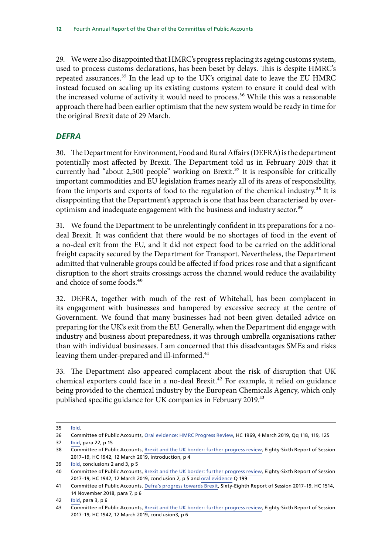<span id="page-13-0"></span>29. We were also disappointed that HMRC's progress replacing its ageing customs system, used to process customs declarations, has been beset by delays. This is despite HMRC's repeated assurances.<sup>35</sup> In the lead up to the UK's original date to leave the EU HMRC instead focused on scaling up its existing customs system to ensure it could deal with the increased volume of activity it would need to process.<sup>36</sup> While this was a reasonable approach there had been earlier optimism that the new system would be ready in time for the original Brexit date of 29 March.

#### *DEFRA*

30. The Department for Environment, Food and Rural Affairs (DEFRA) is the department potentially most affected by Brexit. The Department told us in February 2019 that it currently had "about 2,500 people" working on Brexit.<sup>37</sup> It is responsible for critically important commodities and EU legislation frames nearly all of its areas of responsibility, from the imports and exports of food to the regulation of the chemical industry.<sup>38</sup> It is disappointing that the Department's approach is one that has been characterised by overoptimism and inadequate engagement with the business and industry sector.<sup>39</sup>

31. We found the Department to be unrelentingly confident in its preparations for a nodeal Brexit. It was confident that there would be no shortages of food in the event of a no-deal exit from the EU, and it did not expect food to be carried on the additional freight capacity secured by the Department for Transport. Nevertheless, the Department admitted that vulnerable groups could be affected if food prices rose and that a significant disruption to the short straits crossings across the channel would reduce the availability and choice of some foods.<sup>40</sup>

32. DEFRA, together with much of the rest of Whitehall, has been complacent in its engagement with businesses and hampered by excessive secrecy at the centre of Government. We found that many businesses had not been given detailed advice on preparing for the UK's exit from the EU. Generally, when the Department did engage with industry and business about preparedness, it was through umbrella organisations rather than with individual businesses. I am concerned that this disadvantages SMEs and risks leaving them under-prepared and ill-informed.<sup>41</sup>

33. The Department also appeared complacent about the risk of disruption that UK chemical exporters could face in a no-deal Brexit.42 For example, it relied on guidance being provided to the chemical industry by the European Chemicals Agency, which only published specific guidance for UK companies in February 2019.<sup>43</sup>

<sup>35</sup> [Ibid.](https://www.parliament.uk/documents/commons-committees/public-accounts/Correspondence/2017-19/2018_10_02_14_30_14_Redacted.pdf)

<sup>36</sup> Committee of Public Accounts, [Oral evidence: HMRC Progress Review](http://data.parliament.uk/writtenevidence/committeeevidence.svc/evidencedocument/public-accounts-committee/hmrc-progress-review/oral/97558.html), HC 1969, 4 March 2019, Qq 118, 119, 125 37 [Ibid,](https://publications.parliament.uk/pa/cm201719/cmselect/cmpubacc/1942/1942.pdf) para 22, p 15

<sup>38</sup> Committee of Public Accounts, [Brexit and the UK border: further progress review,](https://publications.parliament.uk/pa/cm201719/cmselect/cmpubacc/1942/1942.pdf) Eighty-Sixth Report of Session 2017–19, HC 1942, 12 March 2019, introduction, p 4

<sup>39</sup> [Ibid,](https://publications.parliament.uk/pa/cm201719/cmselect/cmpubacc/1942/1942.pdf) conclusions 2 and 3, p 5

<sup>40</sup> Committee of Public Accounts, [Brexit and the UK border: further progress review,](https://publications.parliament.uk/pa/cm201719/cmselect/cmpubacc/1942/1942.pdf) Eighty-Sixth Report of Session 2017–19, HC 1942, 12 March 2019, conclusion 2, p 5 and [oral evidence](http://data.parliament.uk/writtenevidence/committeeevidence.svc/evidencedocument/public-accounts-committee/brexit-and-the-uk-border-further-progress-review/oral/96535.pdf) Q 199

<sup>41</sup> Committee of Public Accounts, [Defra's progress towards Brexit](https://publications.parliament.uk/pa/cm201719/cmselect/cmpubacc/1514/1514.pdf), Sixty-Eighth Report of Session 2017–19, HC 1514, 14 November 2018, para 7, p 6

<sup>42</sup> [Ibid,](https://publications.parliament.uk/pa/cm201719/cmselect/cmpubacc/1514/1514.pdf) para 3, p 6

<sup>43</sup> Committee of Public Accounts, [Brexit and the UK border: further progress review,](https://publications.parliament.uk/pa/cm201719/cmselect/cmpubacc/1942/1942.pdf) Eighty-Sixth Report of Session 2017–19, HC 1942, 12 March 2019, conclusion3, p 6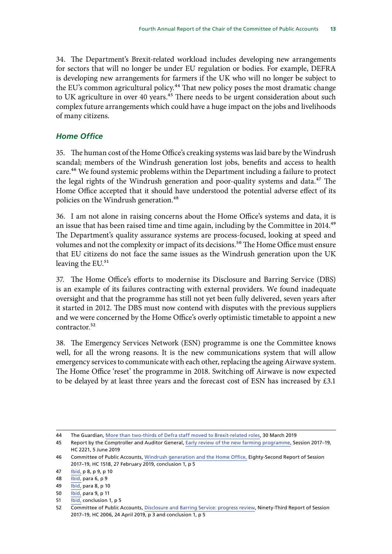<span id="page-14-0"></span>34. The Department's Brexit-related workload includes developing new arrangements for sectors that will no longer be under EU regulation or bodies. For example, DEFRA is developing new arrangements for farmers if the UK who will no longer be subject to the EU's common agricultural policy.<sup>44</sup> That new policy poses the most dramatic change to UK agriculture in over 40 years.<sup>45</sup> There needs to be urgent consideration about such complex future arrangements which could have a huge impact on the jobs and livelihoods of many citizens.

#### *Home Office*

35. The human cost of the Home Office's creaking systems was laid bare by the Windrush scandal; members of the Windrush generation lost jobs, benefits and access to health care.<sup>46</sup> We found systemic problems within the Department including a failure to protect the legal rights of the Windrush generation and poor-quality systems and data.<sup>47</sup> The Home Office accepted that it should have understood the potential adverse effect of its policies on the Windrush generation.<sup>48</sup>

36. I am not alone in raising concerns about the Home Office's systems and data, it is an issue that has been raised time and time again, including by the Committee in 2014.<sup>49</sup> The Department's quality assurance systems are process-focused, looking at speed and volumes and not the complexity or impact of its decisions.<sup>50</sup> The Home Office must ensure that EU citizens do not face the same issues as the Windrush generation upon the UK leaving the EU.<sup>51</sup>

37. The Home Office's efforts to modernise its Disclosure and Barring Service (DBS) is an example of its failures contracting with external providers. We found inadequate oversight and that the programme has still not yet been fully delivered, seven years after it started in 2012. The DBS must now contend with disputes with the previous suppliers and we were concerned by the Home Office's overly optimistic timetable to appoint a new contractor.<sup>52</sup>

38. The Emergency Services Network (ESN) programme is one the Committee knows well, for all the wrong reasons. It is the new communications system that will allow emergency services to communicate with each other, replacing the ageing Airwave system. The Home Office 'reset' the programme in 2018. Switching off Airwave is now expected to be delayed by at least three years and the forecast cost of ESN has increased by £3.1

<sup>44</sup> The Guardian, [More than two-thirds of Defra staff moved to Brexit-related roles,](https://www.theguardian.com/politics/2019/mar/30/defra-staff-brexit-related-roles) 30 March 2019

<sup>45</sup> Report by the Comptroller and Auditor General, [Early review of the new farming programme,](https://www.nao.org.uk/wp-content/uploads/2019/06/Early-review-of-the-new-farming-programme.pdf) Session 2017–19, HC 2221, 5 June 2019

<sup>46</sup> Committee of Public Accounts, [Windrush generation and the Home Office,](https://publications.parliament.uk/pa/cm201719/cmselect/cmpubacc/1518/1518.pdf) Eighty-Second Report of Session 2017–19, HC 1518, 27 February 2019, conclusion 1, p 5

<sup>47</sup> [Ibid,](https://publications.parliament.uk/pa/cm201719/cmselect/cmpubacc/1518/1518.pdf) p 8, p 9, p 10

<sup>48</sup> [Ibid,](https://publications.parliament.uk/pa/cm201719/cmselect/cmpubacc/1518/1518.pdf) para 6, p 9

<sup>49</sup> [Ibid,](https://publications.parliament.uk/pa/cm201719/cmselect/cmpubacc/1518/1518.pdf) para 8, p 10

<sup>50</sup> [Ibid,](https://publications.parliament.uk/pa/cm201719/cmselect/cmpubacc/1518/1518.pdf) para 9, p 11

<sup>51</sup> [Ibid,](https://publications.parliament.uk/pa/cm201719/cmselect/cmpubacc/1518/1518.pdf) conclusion 1, p 5

<sup>52</sup> Committee of Public Accounts, [Disclosure and Barring Service: progress review](https://publications.parliament.uk/pa/cm201719/cmselect/cmpubacc/2006/2006.pdf), Ninety-Third Report of Session 2017–19, HC 2006, 24 April 2019, p 3 and conclusion 1, p 5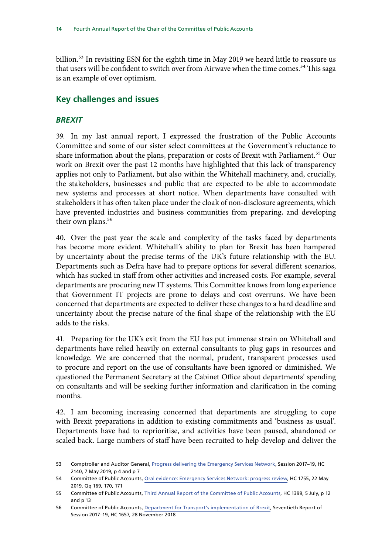<span id="page-15-0"></span>billion.<sup>53</sup> In revisiting ESN for the eighth time in May 2019 we heard little to reassure us that users will be confident to switch over from Airwave when the time comes.<sup>54</sup> This saga is an example of over optimism.

## **Key challenges and issues**

#### *BREXIT*

39. In my last annual report, I expressed the frustration of the Public Accounts Committee and some of our sister select committees at the Government's reluctance to share information about the plans, preparation or costs of Brexit with Parliament.<sup>55</sup> Our work on Brexit over the past 12 months have highlighted that this lack of transparency applies not only to Parliament, but also within the Whitehall machinery, and, crucially, the stakeholders, businesses and public that are expected to be able to accommodate new systems and processes at short notice. When departments have consulted with stakeholders it has often taken place under the cloak of non-disclosure agreements, which have prevented industries and business communities from preparing, and developing their own plans.<sup>56</sup>

40. Over the past year the scale and complexity of the tasks faced by departments has become more evident. Whitehall's ability to plan for Brexit has been hampered by uncertainty about the precise terms of the UK's future relationship with the EU. Departments such as Defra have had to prepare options for several different scenarios, which has sucked in staff from other activities and increased costs. For example, several departments are procuring new IT systems. This Committee knows from long experience that Government IT projects are prone to delays and cost overruns. We have been concerned that departments are expected to deliver these changes to a hard deadline and uncertainty about the precise nature of the final shape of the relationship with the EU adds to the risks.

41. Preparing for the UK's exit from the EU has put immense strain on Whitehall and departments have relied heavily on external consultants to plug gaps in resources and knowledge. We are concerned that the normal, prudent, transparent processes used to procure and report on the use of consultants have been ignored or diminished. We questioned the Permanent Secretary at the Cabinet Office about departments' spending on consultants and will be seeking further information and clarification in the coming months.

42. I am becoming increasing concerned that departments are struggling to cope with Brexit preparations in addition to existing commitments and 'business as usual'. Departments have had to reprioritise, and activities have been paused, abandoned or scaled back. Large numbers of staff have been recruited to help develop and deliver the

<sup>53</sup> Comptroller and Auditor General, [Progress delivering the Emergency Services Network,](https://www.nao.org.uk/report/progress-delivering-the-emergency-services-network/) Session 2017–19, HC 2140, 7 May 2019, p 4 and p 7

<sup>54</sup> Committee of Public Accounts, [Oral evidence: Emergency Services Network: progress review](http://data.parliament.uk/writtenevidence/committeeevidence.svc/evidencedocument/public-accounts-committee/emergency-services-network-progress-review/oral/102447.pdf), HC 1755, 22 May 2019, Qq 169, 170, 171

<sup>55</sup> Committee of Public Accounts, [Third Annual Report of the Committee of Public Accounts](https://publications.parliament.uk/pa/cm201719/cmselect/cmpubacc/1399/1399.pdf), HC 1399, 5 July, p 12 and p 13

<sup>56</sup> Committee of Public Accounts, [Department for Transport's implementation of Brexit,](https://publications.parliament.uk/pa/cm201719/cmselect/cmpubacc/1657/1657.pdf) Seventieth Report of Session 2017–19, HC 1657, 28 November 2018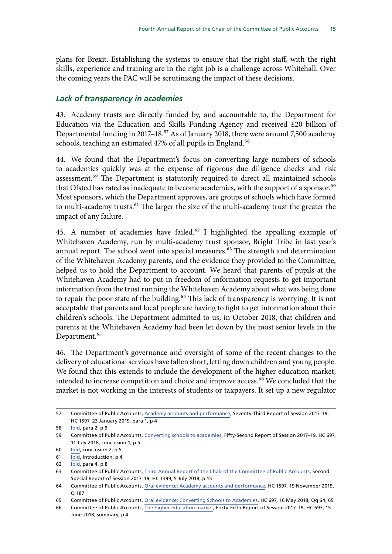<span id="page-16-0"></span>plans for Brexit. Establishing the systems to ensure that the right staff, with the right skills, experience and training are in the right job is a challenge across Whitehall. Over the coming years the PAC will be scrutinising the impact of these decisions.

#### *Lack of transparency in academies*

43. Academy trusts are directly funded by, and accountable to, the Department for Education via the Education and Skills Funding Agency and received £20 billion of Departmental funding in 2017–18.<sup>57</sup> As of January 2018, there were around 7,500 academy schools, teaching an estimated 47% of all pupils in England.<sup>58</sup>

44. We found that the Department's focus on converting large numbers of schools to academies quickly was at the expense of rigorous due diligence checks and risk assessment.<sup>59</sup> The Department is statutorily required to direct all maintained schools that Ofsted has rated as inadequate to become academies, with the support of a sponsor.<sup>60</sup> Most sponsors, which the Department approves, are groups of schools which have formed to multi-academy trusts.61 The larger the size of the multi-academy trust the greater the impact of any failure.

45. A number of academies have failed.<sup>62</sup> I highlighted the appalling example of Whitehaven Academy, run by multi-academy trust sponsor, Bright Tribe in last year's annual report. The school went into special measures. $63$  The strength and determination of the Whitehaven Academy parents, and the evidence they provided to the Committee, helped us to hold the Department to account. We heard that parents of pupils at the Whitehaven Academy had to put in freedom of information requests to get important information from the trust running the Whitehaven Academy about what was being done to repair the poor state of the building.64 This lack of transparency is worrying. It is not acceptable that parents and local people are having to fight to get information about their children's schools. The Department admitted to us, in October 2018, that children and parents at the Whitehaven Academy had been let down by the most senior levels in the Department.<sup>65</sup>

46. The Department's governance and oversight of some of the recent changes to the delivery of educational services have fallen short, letting down children and young people. We found that this extends to include the development of the higher education market; intended to increase competition and choice and improve access.<sup>66</sup> We concluded that the market is not working in the interests of students or taxpayers. It set up a new regulator

<sup>57</sup> Committee of Public Accounts, [Academy accounts and performance,](https://publications.parliament.uk/pa/cm201719/cmselect/cmpubacc/1597/1597.pdf) Seventy-Third Report of Session 2017–19, HC 1597, 23 January 2019, para 1, p 4

<sup>58</sup> [Ibid,](https://publications.parliament.uk/pa/cm201719/cmselect/cmpubacc/1597/1597.pdf) para 2, p 9

<sup>59</sup> Committee of Public Accounts, [Converting schools to academies](https://publications.parliament.uk/pa/cm201719/cmselect/cmpubacc/697/697.pdf), Fifty-Second Report of Session 2017–19, HC 697, 11 July 2018, conclusion 1, p 5

<sup>60</sup> [Ibid,](https://publications.parliament.uk/pa/cm201719/cmselect/cmpubacc/697/697.pdf) conclusion 2, p 5

<sup>61</sup> [Ibid,](https://publications.parliament.uk/pa/cm201719/cmselect/cmpubacc/697/697.pdf) introduction, p 4

<sup>62</sup> [Ibid,](https://publications.parliament.uk/pa/cm201719/cmselect/cmpubacc/697/697.pdf) para 4, p 8

<sup>63</sup> Committee of Public Accounts, [Third Annual Report of the Chair of the Committee of Public Accounts,](https://publications.parliament.uk/pa/cm201719/cmselect/cmpubacc/1399/1399.pdf) Second Special Report of Session 2017–19, HC 1399, 5 July 2018, p 15

<sup>64</sup> Committee of Public Accounts, [Oral evidence: Academy accounts and performance,](http://data.parliament.uk/writtenevidence/committeeevidence.svc/evidencedocument/public-accounts-committee/academy-accounts-and-performance/oral/92611.pdf) HC 1597, 19 November 2019, Q 187

<sup>65</sup> Committee of Public Accounts, [Oral evidence: Converting Schools to Academies,](http://data.parliament.uk/writtenevidence/committeeevidence.svc/evidencedocument/public-accounts-committee/converting-schools-to-academies/oral/83062.pdf) HC 697, 16 May 2018, Qq 64, 65

<sup>66</sup> Committee of Public Accounts, [The higher education market,](https://publications.parliament.uk/pa/cm201719/cmselect/cmpubacc/693/693.pdf) Forty-Fifth Report of Session 2017–19, HC 693, 15 June 2018, summary, p 4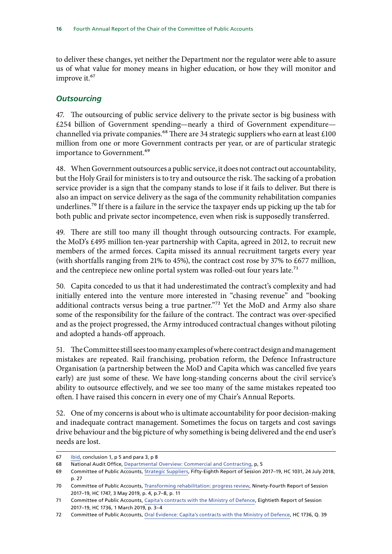<span id="page-17-0"></span>to deliver these changes, yet neither the Department nor the regulator were able to assure us of what value for money means in higher education, or how they will monitor and improve it.<sup>67</sup>

#### *Outsourcing*

47. The outsourcing of public service delivery to the private sector is big business with £254 billion of Government spending—nearly a third of Government expenditure channelled via private companies.<sup>68</sup> There are 34 strategic suppliers who earn at least £100 million from one or more Government contracts per year, or are of particular strategic importance to Government.<sup>69</sup>

48. When Government outsources a public service, it does not contract out accountability, but the Holy Grail for ministers is to try and outsource the risk. The sacking of a probation service provider is a sign that the company stands to lose if it fails to deliver. But there is also an impact on service delivery as the saga of the community rehabilitation companies underlines.<sup>70</sup> If there is a failure in the service the taxpayer ends up picking up the tab for both public and private sector incompetence, even when risk is supposedly transferred.

49. There are still too many ill thought through outsourcing contracts. For example, the MoD's £495 million ten-year partnership with Capita, agreed in 2012, to recruit new members of the armed forces. Capita missed its annual recruitment targets every year (with shortfalls ranging from 21% to 45%), the contract cost rose by 37% to £677 million, and the centrepiece new online portal system was rolled-out four years late.<sup>71</sup>

50. Capita conceded to us that it had underestimated the contract's complexity and had initially entered into the venture more interested in "chasing revenue" and "booking additional contracts versus being a true partner."72 Yet the MoD and Army also share some of the responsibility for the failure of the contract. The contract was over-specified and as the project progressed, the Army introduced contractual changes without piloting and adopted a hands-off approach.

51. The Committee still sees too many examples of where contract design and management mistakes are repeated. Rail franchising, probation reform, the Defence Infrastructure Organisation (a partnership between the MoD and Capita which was cancelled five years early) are just some of these. We have long-standing concerns about the civil service's ability to outsource effectively, and we see too many of the same mistakes repeated too often. I have raised this concern in every one of my Chair's Annual Reports.

52. One of my concerns is about who is ultimate accountability for poor decision-making and inadequate contract management. Sometimes the focus on targets and cost savings drive behaviour and the big picture of why something is being delivered and the end user's needs are lost.

<sup>67</sup> [Ibid,](file:/C:\Users\cooker\AppData\Local\Microsoft\Windows\INetCache\Content.Outlook\VNS4F3ZR\The%20higher%20education%20market) conclusion 1, p 5 and para 3, p 8

<sup>68</sup> National Audit Office, [Departmental Overview: Commercial and Contracting,](https://www.nao.org.uk/wp-content/uploads/2018/12/Departmental-Overview-Commercial-and-Contracting-2017-18.pdf) p, 5

<sup>69</sup> Committee of Public Accounts, [Strategic Suppliers,](https://publications.parliament.uk/pa/cm201719/cmselect/cmpubacc/1031/1031.pdf) Fifty-Eighth Report of Session 2017–19, HC 1031, 24 July 2018, p. 27

<sup>70</sup> Committee of Public Accounts, [Transforming rehabilitation: progress review,](https://publications.parliament.uk/pa/cm201719/cmselect/cmpubacc/1747/1747.pdf) Ninety-Fourth Report of Session 2017–19, HC 1747, 3 May 2019, p. 4, p.7–8, p. 11

<sup>71</sup> Committee of Public Accounts, [Capita's contracts with the Ministry of Defence](https://publications.parliament.uk/pa/cm201719/cmselect/cmpubacc/1736/1736.pdf), Eightieth Report of Session 2017–19, HC 1736, 1 March 2019, p. 3–4

<sup>72</sup> Committee of Public Accounts, [Oral Evidence: Capita's contracts with the Ministry of Defence,](http://data.parliament.uk/writtenevidence/committeeevidence.svc/evidencedocument/public-accounts-committee/capitas-contracts-with-the-ministry-of-defence/oral/94999.pdf) HC 1736, Q. 39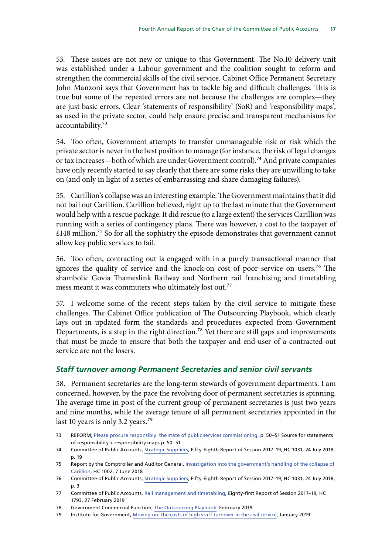<span id="page-18-0"></span>53. These issues are not new or unique to this Government. The No.10 delivery unit was established under a Labour government and the coalition sought to reform and strengthen the commercial skills of the civil service. Cabinet Office Permanent Secretary John Manzoni says that Government has to tackle big and difficult challenges. This is true but some of the repeated errors are not because the challenges are complex—they are just basic errors. Clear 'statements of responsibility' (SoR) and 'responsibility maps', as used in the private sector, could help ensure precise and transparent mechanisms for accountability.73

54. Too often, Government attempts to transfer unmanageable risk or risk which the private sector is never in the best position to manage (for instance, the risk of legal changes or tax increases—both of which are under Government control).74 And private companies have only recently started to say clearly that there are some risks they are unwilling to take on (and only in light of a series of embarrassing and share damaging failures).

55. Carillion's collapse was an interesting example. The Government maintains that it did not bail out Carillion. Carillion believed, right up to the last minute that the Government would help with a rescue package. It did rescue (to a large extent) the services Carillion was running with a series of contingency plans. There was however, a cost to the taxpayer of  $£148$  million.<sup>75</sup> So for all the sophistry the episode demonstrates that government cannot allow key public services to fail.

56. Too often, contracting out is engaged with in a purely transactional manner that ignores the quality of service and the knock-on cost of poor service on users.<sup>76</sup> The shambolic Govia Thameslink Railway and Northern rail franchising and timetabling mess meant it was commuters who ultimately lost out.<sup>77</sup>

57. I welcome some of the recent steps taken by the civil service to mitigate these challenges. The Cabinet Office publication of The Outsourcing Playbook, which clearly lays out in updated form the standards and procedures expected from Government Departments, is a step in the right direction.78 Yet there are still gaps and improvements that must be made to ensure that both the taxpayer and end-user of a contracted-out service are not the losers.

#### *Staff turnover among Permanent Secretaries and senior civil servants*

58. Permanent secretaries are the long-term stewards of government departments. I am concerned, however, by the pace the revolving door of permanent secretaries is spinning. The average time in post of the current group of permanent secretaries is just two years and nine months, while the average tenure of all permanent secretaries appointed in the last 10 years is only 3.2 years.<sup>79</sup>

<sup>73</sup> REFORM, [Please procure responsibly: the state of public services commissioning,](https://reform.uk/sites/default/files/2019-03/Public%20Service%20Procurement_AW_WEB.pdf) p. 50-51 Source for statements of responsibility + responsibility maps p. 50–51

<sup>74</sup> Committee of Public Accounts, [Strategic Suppliers,](https://publications.parliament.uk/pa/cm201719/cmselect/cmpubacc/1031/1031.pdf) Fifty-Eighth Report of Session 2017–19, HC 1031, 24 July 2018, p. 19

<sup>75</sup> Report by the Comptroller and Auditor General, [Investigation into the government's handling of the collapse of](https://www.nao.org.uk/wp-content/uploads/2018/06/Investigation-into-the-governments-handling-of-the-collapse-of-Carillion.pdf)  [Carillion,](https://www.nao.org.uk/wp-content/uploads/2018/06/Investigation-into-the-governments-handling-of-the-collapse-of-Carillion.pdf) HC 1002, 7 June 2018

<sup>76</sup> Committee of Public Accounts, [Strategic Suppliers,](https://publications.parliament.uk/pa/cm201719/cmselect/cmpubacc/1031/1031.pdf) Fifty-Eighth Report of Session 2017–19, HC 1031, 24 July 2018, p. 3

<sup>77</sup> Committee of Public Accounts, [Rail management and timetabling](https://publications.parliament.uk/pa/cm201719/cmselect/cmpubacc/1793/1793.pdf), Eighty-first Report of Session 2017–19, HC 1793, 27 February 2019

<sup>78</sup> Government Commercial Function, [The Outsourcing Playbook.](https://assets.publishing.service.gov.uk/government/uploads/system/uploads/attachment_data/file/780361/20190220_OutsourcingPlaybook_6.5212.pdf) February 2019

<sup>79</sup> Institute for Government, [Moving on: the costs of high staff turnover in the civil service](https://www.instituteforgovernment.org.uk/sites/default/files/publications/IfG_staff_turnover_WEB.pdf), January 2019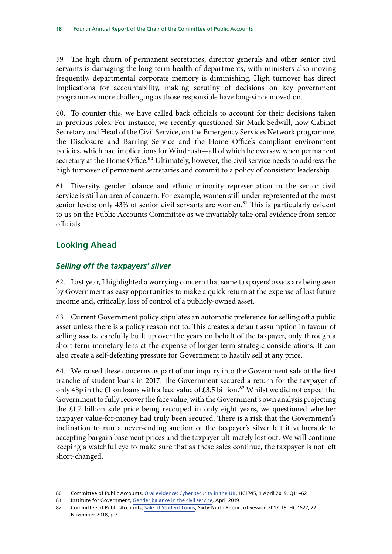<span id="page-19-0"></span>59. The high churn of permanent secretaries, director generals and other senior civil servants is damaging the long-term health of departments, with ministers also moving frequently, departmental corporate memory is diminishing. High turnover has direct implications for accountability, making scrutiny of decisions on key government programmes more challenging as those responsible have long-since moved on.

60. To counter this, we have called back officials to account for their decisions taken in previous roles. For instance, we recently questioned Sir Mark Sedwill, now Cabinet Secretary and Head of the Civil Service, on the Emergency Services Network programme, the Disclosure and Barring Service and the Home Office's compliant environment policies, which had implications for Windrush—all of which he oversaw when permanent secretary at the Home Office.<sup>80</sup> Ultimately, however, the civil service needs to address the high turnover of permanent secretaries and commit to a policy of consistent leadership.

61. Diversity, gender balance and ethnic minority representation in the senior civil service is still an area of concern. For example, women still under-represented at the most senior levels: only 43% of senior civil servants are women.<sup>81</sup> This is particularly evident to us on the Public Accounts Committee as we invariably take oral evidence from senior officials.

# **Looking Ahead**

## *Selling off the taxpayers' silver*

62. Last year, I highlighted a worrying concern that some taxpayers' assets are being seen by Government as easy opportunities to make a quick return at the expense of lost future income and, critically, loss of control of a publicly-owned asset.

63. Current Government policy stipulates an automatic preference for selling off a public asset unless there is a policy reason not to. This creates a default assumption in favour of selling assets, carefully built up over the years on behalf of the taxpayer, only through a short-term monetary lens at the expense of longer-term strategic considerations. It can also create a self-defeating pressure for Government to hastily sell at any price.

64. We raised these concerns as part of our inquiry into the Government sale of the first tranche of student loans in 2017. The Government secured a return for the taxpayer of only 48p in the £1 on loans with a face value of £3.5 billion.<sup>82</sup> Whilst we did not expect the Government to fully recover the face value, with the Government's own analysis projecting the £1.7 billion sale price being recouped in only eight years, we questioned whether taxpayer value-for-money had truly been secured. There is a risk that the Government's inclination to run a never-ending auction of the taxpayer's silver left it vulnerable to accepting bargain basement prices and the taxpayer ultimately lost out. We will continue keeping a watchful eye to make sure that as these sales continue, the taxpayer is not left short-changed.

<sup>80</sup> Committee of Public Accounts, [Oral evidence: Cyber security in the UK](http://data.parliament.uk/writtenevidence/committeeevidence.svc/evidencedocument/public-accounts-committee/cyber-security-in-the-uk/oral/98951.html), HC1745, 1 April 2019, Q11-62

<sup>81</sup> Institute for Government, [Gender balance in the civil service,](https://www.instituteforgovernment.org.uk/explainers/gender-balance-civil-service) April 2019

<sup>82</sup> Committee of Public Accounts, [Sale of Student Loans,](https://publications.parliament.uk/pa/cm201719/cmselect/cmpubacc/1527/1527.pdf) Sixty-Ninth Report of Session 2017–19, HC 1527, 22 November 2018, p 3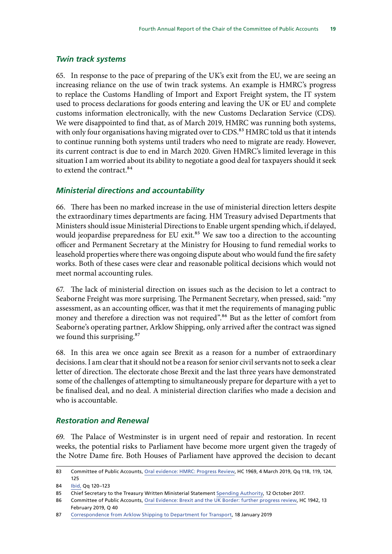#### <span id="page-20-0"></span>*Twin track systems*

65. In response to the pace of preparing of the UK's exit from the EU, we are seeing an increasing reliance on the use of twin track systems. An example is HMRC's progress to replace the Customs Handling of Import and Export Freight system, the IT system used to process declarations for goods entering and leaving the UK or EU and complete customs information electronically, with the new Customs Declaration Service (CDS). We were disappointed to find that, as of March 2019, HMRC was running both systems, with only four organisations having migrated over to CDS.<sup>83</sup> HMRC told us that it intends to continue running both systems until traders who need to migrate are ready. However, its current contract is due to end in March 2020. Given HMRC's limited leverage in this situation I am worried about its ability to negotiate a good deal for taxpayers should it seek to extend the contract.<sup>84</sup>

#### *Ministerial directions and accountability*

66. There has been no marked increase in the use of ministerial direction letters despite the extraordinary times departments are facing. HM Treasury advised Departments that Ministers should issue Ministerial Directions to Enable urgent spending which, if delayed, would jeopardise preparedness for EU exit.<sup>85</sup> We saw too a direction to the accounting officer and Permanent Secretary at the Ministry for Housing to fund remedial works to leasehold properties where there was ongoing dispute about who would fund the fire safety works. Both of these cases were clear and reasonable political decisions which would not meet normal accounting rules.

67. The lack of ministerial direction on issues such as the decision to let a contract to Seaborne Freight was more surprising. The Permanent Secretary, when pressed, said: "my assessment, as an accounting officer, was that it met the requirements of managing public money and therefore a direction was not required".<sup>86</sup> But as the letter of comfort from Seaborne's operating partner, Arklow Shipping, only arrived after the contract was signed we found this surprising.<sup>87</sup>

68. In this area we once again see Brexit as a reason for a number of extraordinary decisions. I am clear that it should not be a reason for senior civil servants not to seek a clear letter of direction. The electorate chose Brexit and the last three years have demonstrated some of the challenges of attempting to simultaneously prepare for departure with a yet to be finalised deal, and no deal. A ministerial direction clarifies who made a decision and who is accountable.

#### *Restoration and Renewal*

69. The Palace of Westminster is in urgent need of repair and restoration. In recent weeks, the potential risks to Parliament have become more urgent given the tragedy of the Notre Dame fire. Both Houses of Parliament have approved the decision to decant

<sup>83</sup> Committee of Public Accounts, [Oral evidence: HMRC: Progress Review](http://data.parliament.uk/writtenevidence/committeeevidence.svc/evidencedocument/public-accounts-committee/hmrc-progress-review/oral/97558.pdf), HC 1969, 4 March 2019, Qq 118, 119, 124, 125

<sup>84</sup> [Ibid,](http://data.parliament.uk/writtenevidence/committeeevidence.svc/evidencedocument/public-accounts-committee/hmrc-progress-review/oral/97558.pdf) Qq 120–123

<sup>85</sup> Chief Secretary to the Treasury Written Ministerial Statement [Spending Authority](https://www.parliament.uk/business/publications/written-questions-answers-statements/written-statement/Commons/2017-10-12/HCWS162/), 12 October 2017.

<sup>86</sup> Committee of Public Accounts, [Oral Evidence: Brexit and the UK Border: further progress review,](http://data.parliament.uk/writtenevidence/committeeevidence.svc/evidencedocument/public-accounts-committee/brexit-and-the-uk-border-further-progress-review/oral/96535.pdf) HC 1942, 13 February 2019, Q 40

<sup>87</sup> [Correspondence from Arklow Shipping to Department for Transport](https://assets.publishing.service.gov.uk/government/uploads/system/uploads/attachment_data/file/777983/arklow-letter.pdf), 18 January 2019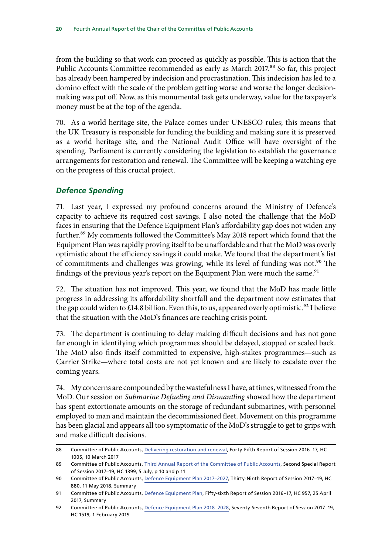<span id="page-21-0"></span>from the building so that work can proceed as quickly as possible. This is action that the Public Accounts Committee recommended as early as March 2017.<sup>88</sup> So far, this project has already been hampered by indecision and procrastination. This indecision has led to a domino effect with the scale of the problem getting worse and worse the longer decisionmaking was put off. Now, as this monumental task gets underway, value for the taxpayer's money must be at the top of the agenda.

70. As a world heritage site, the Palace comes under UNESCO rules; this means that the UK Treasury is responsible for funding the building and making sure it is preserved as a world heritage site, and the National Audit Office will have oversight of the spending. Parliament is currently considering the legislation to establish the governance arrangements for restoration and renewal. The Committee will be keeping a watching eye on the progress of this crucial project.

#### *Defence Spending*

71. Last year, I expressed my profound concerns around the Ministry of Defence's capacity to achieve its required cost savings. I also noted the challenge that the MoD faces in ensuring that the Defence Equipment Plan's affordability gap does not widen any further.<sup>89</sup> My comments followed the Committee's May 2018 report which found that the Equipment Plan was rapidly proving itself to be unaffordable and that the MoD was overly optimistic about the efficiency savings it could make. We found that the department's list of commitments and challenges was growing, while its level of funding was not.<sup>90</sup> The findings of the previous year's report on the Equipment Plan were much the same.<sup>91</sup>

72. The situation has not improved. This year, we found that the MoD has made little progress in addressing its affordability shortfall and the department now estimates that the gap could widen to £14.8 billion. Even this, to us, appeared overly optimistic.<sup>92</sup> I believe that the situation with the MoD's finances are reaching crisis point.

73. The department is continuing to delay making difficult decisions and has not gone far enough in identifying which programmes should be delayed, stopped or scaled back. The MoD also finds itself committed to expensive, high-stakes programmes—such as Carrier Strike—where total costs are not yet known and are likely to escalate over the coming years.

74. My concerns are compounded by the wastefulness I have, at times, witnessed from the MoD. Our session on *Submarine Defueling and Dismantling* showed how the department has spent extortionate amounts on the storage of redundant submarines, with personnel employed to man and maintain the decommissioned fleet. Movement on this programme has been glacial and appears all too symptomatic of the MoD's struggle to get to grips with and make difficult decisions.

<sup>88</sup> Committee of Public Accounts, [Delivering restoration and renewal,](https://publications.parliament.uk/pa/cm201617/cmselect/cmpubacc/1005/1005.pdf) Forty-Fifth Report of Session 2016–17, HC 1005, 10 March 2017

<sup>89</sup> Committee of Public Accounts, [Third Annual Report of the Committee of Public Accounts](https://publications.parliament.uk/pa/cm201719/cmselect/cmpubacc/1399/1399.pdf), Second Special Report of Session 2017–19, HC 1399, 5 July, p 10 and p 11

<sup>90</sup> Committee of Public Accounts, [Defence Equipment Plan 2017–2027](https://publications.parliament.uk/pa/cm201719/cmselect/cmpubacc/880/880.pdf), Thirty-Ninth Report of Session 2017–19, HC 880, 11 May 2018, Summary

<sup>91</sup> Committee of Public Accounts, [Defence Equipment Plan,](https://publications.parliament.uk/pa/cm201617/cmselect/cmpubacc/957/957.pdf) Fifty-sixth Report of Session 2016–17, HC 957, 25 April 2017, Summary

<sup>92</sup> Committee of Public Accounts, [Defence Equipment Plan 2018–2028,](https://publications.parliament.uk/pa/cm201719/cmselect/cmpubacc/1519/1519.pdf) Seventy-Seventh Report of Session 2017–19, HC 1519, 1 February 2019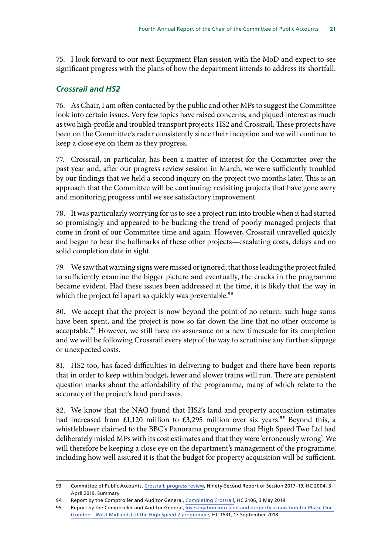<span id="page-22-0"></span>75. I look forward to our next Equipment Plan session with the MoD and expect to see significant progress with the plans of how the department intends to address its shortfall.

# *Crossrail and HS2*

76. As Chair, I am often contacted by the public and other MPs to suggest the Committee look into certain issues. Very few topics have raised concerns, and piqued interest as much as two high-profile and troubled transport projects: HS2 and Crossrail. These projects have been on the Committee's radar consistently since their inception and we will continue to keep a close eye on them as they progress.

77. Crossrail, in particular, has been a matter of interest for the Committee over the past year and, after our progress review session in March, we were sufficiently troubled by our findings that we held a second inquiry on the project two months later. This is an approach that the Committee will be continuing: revisiting projects that have gone awry and monitoring progress until we see satisfactory improvement.

78. It was particularly worrying for us to see a project run into trouble when it had started so promisingly and appeared to be bucking the trend of poorly managed projects that come in front of our Committee time and again. However, Crossrail unravelled quickly and began to bear the hallmarks of these other projects—escalating costs, delays and no solid completion date in sight.

79. We saw that warning signs were missed or ignored; that those leading the project failed to sufficiently examine the bigger picture and eventually, the cracks in the programme became evident. Had these issues been addressed at the time, it is likely that the way in which the project fell apart so quickly was preventable.<sup>93</sup>

80. We accept that the project is now beyond the point of no return: such huge sums have been spent, and the project is now so far down the line that no other outcome is acceptable.<sup>94</sup> However, we still have no assurance on a new timescale for its completion and we will be following Crossrail every step of the way to scrutinise any further slippage or unexpected costs.

81. HS2 too, has faced difficulties in delivering to budget and there have been reports that in order to keep within budget, fewer and slower trains will run. There are persistent question marks about the affordability of the programme, many of which relate to the accuracy of the project's land purchases.

82. We know that the NAO found that HS2's land and property acquisition estimates had increased from £1,120 million to £3,295 million over six years.<sup>95</sup> Beyond this, a whistleblower claimed to the BBC's Panorama programme that High Speed Two Ltd had deliberately misled MPs with its cost estimates and that they were 'erroneously wrong'. We will therefore be keeping a close eye on the department's management of the programme, including how well assured it is that the budget for property acquisition will be sufficient.

<sup>93</sup> Committee of Public Accounts, [Crossrail: progress review,](https://publications.parliament.uk/pa/cm201719/cmselect/cmpubacc/2004/2004.pdf) Ninety-Second Report of Session 2017–19, HC 2004, 3 April 2019, Summary

<sup>94</sup> Report by the Comptroller and Auditor General, [Completing Crossrail,](https://www.nao.org.uk/wp-content/uploads/2019/05/Completing-Crossrail.pdf) HC 2106, 3 May 2019

<sup>95</sup> Report by the Comptroller and Auditor General, [Investigation into land and property acquisition for Phase One](https://www.nao.org.uk/wp-content/uploads/2018/09/Investigation-into-land-and-property-acquisition-for-the-Phase-One-Full-report.pdf)  [\(London – West Midlands\) of the High Speed 2 programme](https://www.nao.org.uk/wp-content/uploads/2018/09/Investigation-into-land-and-property-acquisition-for-the-Phase-One-Full-report.pdf), HC 1531, 13 September 2018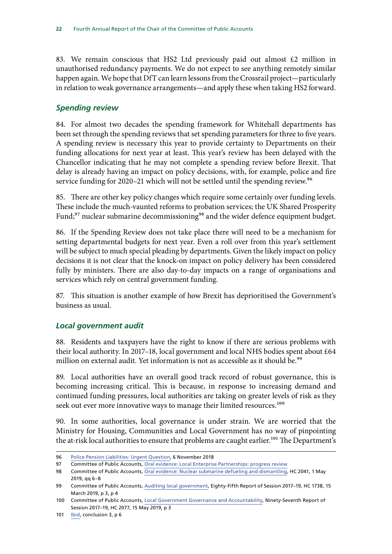<span id="page-23-0"></span>83. We remain conscious that HS2 Ltd previously paid out almost  $£2$  million in unauthorised redundancy payments. We do not expect to see anything remotely similar happen again. We hope that DfT can learn lessons from the Crossrail project—particularly in relation to weak governance arrangements—and apply these when taking HS2 forward.

#### *Spending review*

84. For almost two decades the spending framework for Whitehall departments has been set through the spending reviews that set spending parameters for three to five years. A spending review is necessary this year to provide certainty to Departments on their funding allocations for next year at least. This year's review has been delayed with the Chancellor indicating that he may not complete a spending review before Brexit. That delay is already having an impact on policy decisions, with, for example, police and fire service funding for 2020–21 which will not be settled until the spending review.<sup>96</sup>

85. There are other key policy changes which require some certainly over funding levels. These include the much-vaunted reforms to probation services; the UK Shared Prosperity Fund;<sup>97</sup> nuclear submarine decommissioning<sup>98</sup> and the wider defence equipment budget.

86. If the Spending Review does not take place there will need to be a mechanism for setting departmental budgets for next year. Even a roll over from this year's settlement will be subject to much special pleading by departments. Given the likely impact on policy decisions it is not clear that the knock-on impact on policy delivery has been considered fully by ministers. There are also day-to-day impacts on a range of organisations and services which rely on central government funding.

87. This situation is another example of how Brexit has deprioritised the Government's business as usual.

### *Local government audit*

88. Residents and taxpayers have the right to know if there are serious problems with their local authority. In 2017–18, local government and local NHS bodies spent about £64 million on external audit. Yet information is not as accessible as it should be.<sup>99</sup>

89. Local authorities have an overall good track record of robust governance, this is becoming increasing critical. This is because, in response to increasing demand and continued funding pressures, local authorities are taking on greater levels of risk as they seek out ever more innovative ways to manage their limited resources.<sup>100</sup>

90. In some authorities, local governance is under strain. We are worried that the Ministry for Housing, Communities and Local Government has no way of pinpointing the at-risk local authorities to ensure that problems are caught earlier.<sup>101</sup> The Department's

<sup>96</sup> [Police Pension Liabilities: Urgent Question](https://hansard.parliament.uk/commons/2018-11-06/debates/1CA88EFB-96D1-4C24-9101-47E95C4A8392/PolicePensionLiabilities), 6 November 2018

<sup>97</sup> Committee of Public Accounts, [Oral evidence: Local Enterprise Partnerships: progress review](http://data.parliament.uk/writtenevidence/committeeevidence.svc/evidencedocument/public-accounts-committee/local-enterprise-partnerships-progress-review/oral/101988.pdf)

<sup>98</sup> Committee of Public Accounts, [Oral evidence: Nuclear submarine defueling and dismantling](file:/C:\Users\cooker\AppData\Local\Microsoft\Windows\INetCache\Content.Outlook\VNS4F3ZR\Committee%20of%20Public%20Accounts), HC 2041, 1 May 2019, qq 6–8

<sup>99</sup> Committee of Public Accounts, [Auditing local government,](https://publications.parliament.uk/pa/cm201719/cmselect/cmpubacc/1738/1738.pdf) Eighty-Fifth Report of Session 2017-19, HC 1738, 15 March 2019, p 3, p 4

<sup>100</sup> Committee of Public Accounts, [Local Government Governance and Accountability,](https://publications.parliament.uk/pa/cm201719/cmselect/cmpubacc/2077/2077.pdf) Ninety-Seventh Report of Session 2017–19, HC 2077, 15 May 2019, p 3

<sup>101</sup> [Ibid,](https://publications.parliament.uk/pa/cm201719/cmselect/cmpubacc/2077/2077.pdf) conclusion 3, p 6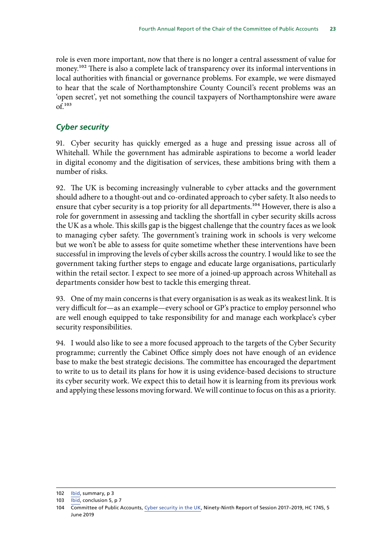<span id="page-24-0"></span>role is even more important, now that there is no longer a central assessment of value for money.<sup>102</sup> There is also a complete lack of transparency over its informal interventions in local authorities with financial or governance problems. For example, we were dismayed to hear that the scale of Northamptonshire County Council's recent problems was an 'open secret', yet not something the council taxpayers of Northamptonshire were aware  $of.<sup>103</sup>$ 

### *Cyber security*

91. Cyber security has quickly emerged as a huge and pressing issue across all of Whitehall. While the government has admirable aspirations to become a world leader in digital economy and the digitisation of services, these ambitions bring with them a number of risks.

92. The UK is becoming increasingly vulnerable to cyber attacks and the government should adhere to a thought-out and co-ordinated approach to cyber safety. It also needs to ensure that cyber security is a top priority for all departments.<sup>104</sup> However, there is also a role for government in assessing and tackling the shortfall in cyber security skills across the UK as a whole. This skills gap is the biggest challenge that the country faces as we look to managing cyber safety. The government's training work in schools is very welcome but we won't be able to assess for quite sometime whether these interventions have been successful in improving the levels of cyber skills across the country. I would like to see the government taking further steps to engage and educate large organisations, particularly within the retail sector. I expect to see more of a joined-up approach across Whitehall as departments consider how best to tackle this emerging threat.

93. One of my main concerns is that every organisation is as weak as its weakest link. It is very difficult for—as an example—every school or GP's practice to employ personnel who are well enough equipped to take responsibility for and manage each workplace's cyber security responsibilities.

94. I would also like to see a more focused approach to the targets of the Cyber Security programme; currently the Cabinet Office simply does not have enough of an evidence base to make the best strategic decisions. The committee has encouraged the department to write to us to detail its plans for how it is using evidence-based decisions to structure its cyber security work. We expect this to detail how it is learning from its previous work and applying these lessons moving forward. We will continue to focus on this as a priority.

<sup>102</sup> [Ibid,](https://publications.parliament.uk/pa/cm201719/cmselect/cmpubacc/2077/2077.pdf) summary, p 3

<sup>103</sup> [Ibid,](https://publications.parliament.uk/pa/cm201719/cmselect/cmpubacc/2077/2077.pdf) conclusion 5, p 7

<sup>104</sup> Committee of Public Accounts, [Cyber security in the UK](https://publications.parliament.uk/pa/cm201719/cmselect/cmpubacc/1745/174502.htm), Ninety-Ninth Report of Session 2017–2019, HC 1745, 5 June 2019